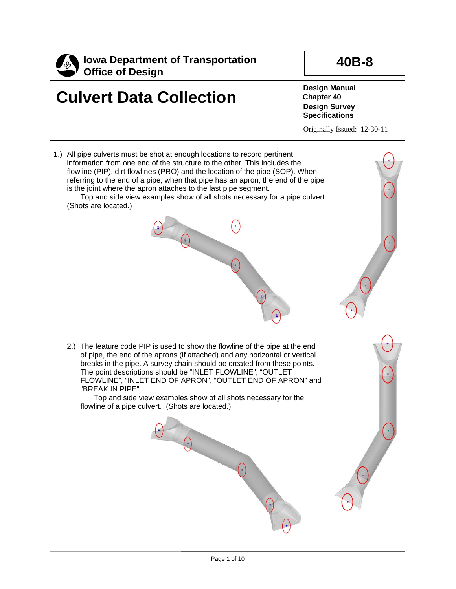

# **Culvert Data Collection**

**Design Manual Chapter 40 Design Survey Specifications**

Originally Issued: 12-30-11

**40B-8**

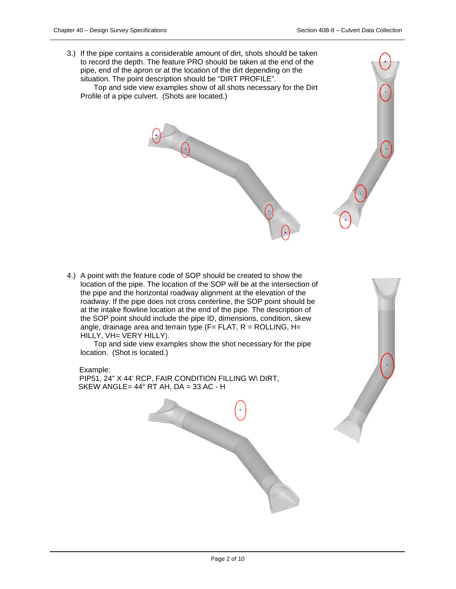3.) If the pipe contains a considerable amount of dirt, shots should be taken to record the depth. The feature PRO should be taken at the end of the pipe, end of the apron or at the location of the dirt depending on the situation. The point description should be "DIRT PROFILE".

Top and side view examples show of all shots necessary for the Dirt Profile of a pipe culvert. (Shots are located.)

4.) A point with the feature code of SOP should be created to show the location of the pipe. The location of the SOP will be at the intersection of the pipe and the horizontal roadway alignment at the elevation of the roadway. If the pipe does not cross centerline, the SOP point should be at the intake flowline location at the end of the pipe. The description of the SOP point should include the pipe ID, dimensions, condition, skew angle, drainage area and terrain type  $(F = FLAT, R = ROLLING, H =$ HILLY, VH= VERY HILLY).

Top and side view examples show the shot necessary for the pipe location. (Shot is located.)

#### Example:

 PIP51, 24" X 44' RCP, FAIR CONDITION FILLING W\ DIRT, SKEW ANGLE=  $44^\circ$  RT AH, DA = 33 AC - H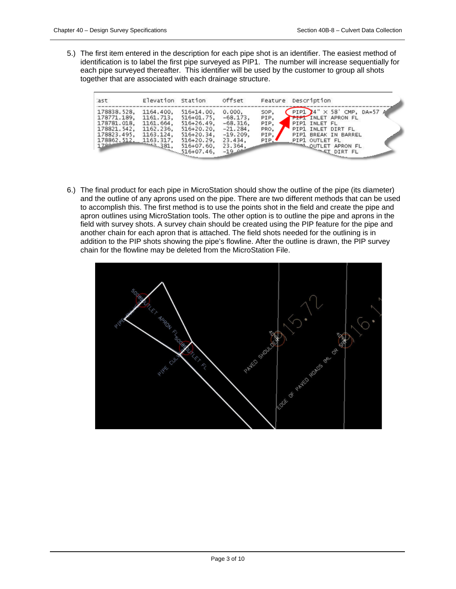5.) The first item entered in the description for each pipe shot is an identifier. The easiest method of identification is to label the first pipe surveyed as PIP1. The number will increase sequentially for each pipe surveyed thereafter. This identifier will be used by the customer to group all shots together that are associated with each drainage structure.

| :ast                                                                                                                                                            | Elevation Station                                |                                                         | offset                                                                                            |                                      | Feature Description                                                                                                                                                                         |
|-----------------------------------------------------------------------------------------------------------------------------------------------------------------|--------------------------------------------------|---------------------------------------------------------|---------------------------------------------------------------------------------------------------|--------------------------------------|---------------------------------------------------------------------------------------------------------------------------------------------------------------------------------------------|
| 178838.528,<br>178771.189.<br>178781.018.<br>178821.542.<br>3823.495, 1103.317, 510+47.60, 23.<br>178862.512. 1163.317, 516+07.60, 23.<br>516+07.46, 516+07.46, | 1164.400.<br>1161.713.<br>1161.664.<br>1162.236. | $516 + 14.00$<br>516+01.75,<br>516+26.49.<br>516+20.20, | 0.000,<br>$-68.173$ ,<br>$-68.316$<br>$-21.284.$<br>$-19.209$<br>23.434,<br>23.364,<br>$-19 - 44$ | SOP,<br>PIP,<br>PIP,<br>PRO,<br>PIP. | PIP1 $4''$ $\times$ 58' CMP, DA=57 A<br><b>PIPI INLET APRON FL</b><br>PIP1 INLET FL<br>PIP1 INLET DIRT FL<br>PIP1 BREAK IN BARREL<br>PIP1 OUTLET FL<br>OUTLET APRON FL<br><b>ET DIRT FL</b> |

6.) The final product for each pipe in MicroStation should show the outline of the pipe (its diameter) and the outline of any aprons used on the pipe. There are two different methods that can be used to accomplish this. The first method is to use the points shot in the field and create the pipe and apron outlines using MicroStation tools. The other option is to outline the pipe and aprons in the field with survey shots. A survey chain should be created using the PIP feature for the pipe and another chain for each apron that is attached. The field shots needed for the outlining is in addition to the PIP shots showing the pipe's flowline. After the outline is drawn, the PIP survey chain for the flowline may be deleted from the MicroStation File.

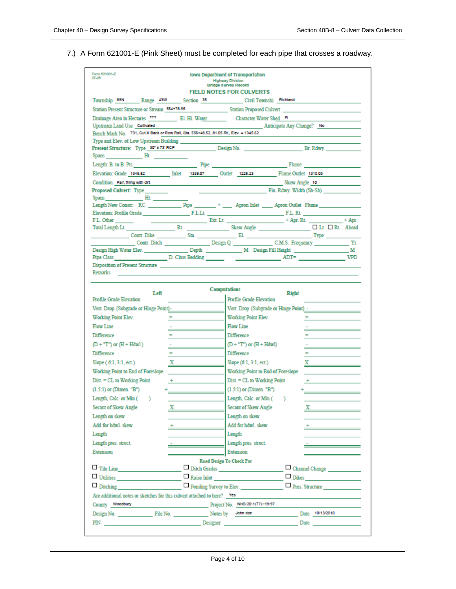### 7.) A Form 621001-E (Pink Sheet) must be completed for each pipe that crosses a roadway.

| Form 621001-E<br>07-05                                                                                | Iowa Department of Transportation<br><b>Highway Division</b>                                                                                                                                                                   |
|-------------------------------------------------------------------------------------------------------|--------------------------------------------------------------------------------------------------------------------------------------------------------------------------------------------------------------------------------|
|                                                                                                       | <b>Bridge Survey Record</b><br><b>FIELD NOTES FOR CULVERTS</b>                                                                                                                                                                 |
|                                                                                                       |                                                                                                                                                                                                                                |
| Township 89N Range 43W Section 35 Civil Townshi Richland                                              |                                                                                                                                                                                                                                |
|                                                                                                       | Station Present Structure or Stream 554+78.56 Station Proposed Culvert Control Culvert Control of Structure or Stream Station Proposed Culvert                                                                                 |
| Drainage Area in Hectares 777 278 EL Hi. Water Character Water Shed FL<br>Upstream Land Use Cuttvated | Anticipate Any Change? No                                                                                                                                                                                                      |
| Bench Mark No. 731, Cut X Back or Row Rail, Sta. 556+48.52, 81.05 Rt., Elev. - 1345.62                |                                                                                                                                                                                                                                |
| Type and Elev. of Low Upstream Building                                                               |                                                                                                                                                                                                                                |
|                                                                                                       |                                                                                                                                                                                                                                |
| Spans Ht.                                                                                             |                                                                                                                                                                                                                                |
|                                                                                                       | Length: B. to B. Pts. New York: New York: Pipe New York: New York: New York: New York: New York: New York: New York: New York: New York: New York: New York: New York: New York: New York: New York: New York: New York: New Y |
|                                                                                                       |                                                                                                                                                                                                                                |
|                                                                                                       | Condition Fair, filing with dirt and the condition of the condition of the Skew Angle 10                                                                                                                                       |
| Proposed Culvert: Type                                                                                | <b>Example 2018</b> Fin. Rdwy. Width (Sh-Sh)                                                                                                                                                                                   |
| Spans Ht.                                                                                             |                                                                                                                                                                                                                                |
|                                                                                                       | Length New Constr. RC _____________Pipe _______ + ______ Apron Inlet _____ Apron Outlet Flume _______________                                                                                                                  |
| F.L. Other                                                                                            | Ext. Lt. _______________ + Apr. Rt. __________ + Apr.                                                                                                                                                                          |
|                                                                                                       |                                                                                                                                                                                                                                |
|                                                                                                       |                                                                                                                                                                                                                                |
|                                                                                                       | Yr.                                                                                                                                                                                                                            |
|                                                                                                       |                                                                                                                                                                                                                                |
|                                                                                                       |                                                                                                                                                                                                                                |
| Disposition of Present Structure<br>Remarks                                                           |                                                                                                                                                                                                                                |
|                                                                                                       |                                                                                                                                                                                                                                |
| Left<br>Profile Grade Elevation                                                                       | Computations<br><b>Right</b><br>Profile Grade Elevation                                                                                                                                                                        |
| Vert. Drop {Subgrade or Hinge Point}-                                                                 | Vert. Drop {Subgrade or Hinge Point} -                                                                                                                                                                                         |
| Working Point Elev.<br>$=$                                                                            | Working Point Elev.<br>$=$                                                                                                                                                                                                     |
| <b>Flow Line</b>                                                                                      | Flow Line                                                                                                                                                                                                                      |
| Difference                                                                                            | Difference                                                                                                                                                                                                                     |
| $(D + "T")$ or $(H + Hdwl.)$                                                                          | $(D + "T")$ or $(H + HdwI)$                                                                                                                                                                                                    |
| Difference                                                                                            | Difference                                                                                                                                                                                                                     |
| Slope ( 6:1, 3:1, ect.)<br>$\overline{X}$                                                             | Slope (6:1, 3:1, ect.)<br>$\mathbf{x}$ and $\mathbf{x}$ and $\mathbf{x}$                                                                                                                                                       |
| Working Point to End of Foreslope                                                                     | Working Point to End of Foreslope                                                                                                                                                                                              |
| $Dist. = CL$ to Working Point                                                                         | Dist. = CL to Working Point                                                                                                                                                                                                    |
| $(1.5:1)$ or (Dimen. "B")                                                                             | $(1.5:1)$ or (Dimen. "B")                                                                                                                                                                                                      |
| Length, Calc. or Min (<br>x                                                                           | Length, Calc. or Min (<br>D.                                                                                                                                                                                                   |
| Secant of Skew Angle                                                                                  | Secant of Skew Angle                                                                                                                                                                                                           |
| Length on skew                                                                                        | Length on skew                                                                                                                                                                                                                 |
| Add for hdwl. skew                                                                                    | Add for hdwl. skew<br><u> 1989 - Johann Barn, mars et al.</u>                                                                                                                                                                  |
| Length                                                                                                | Length                                                                                                                                                                                                                         |
| Length pres. struct.                                                                                  | Length pres. struct.<br><u> Liberal Communication</u>                                                                                                                                                                          |
| Extension                                                                                             | Extension                                                                                                                                                                                                                      |
|                                                                                                       | <b>Road Design To Check For</b>                                                                                                                                                                                                |
| $\Box$ Tile Line $\Box$                                                                               | Ditch Grades<br>Channel Change                                                                                                                                                                                                 |
| $\Box$ Utilities $\Box$ Raise Inlet                                                                   | $\Box$ Dikes                                                                                                                                                                                                                   |
| $\Box$ Ditching                                                                                       | Ponding Survey to Elev.<br>Pres. Structure                                                                                                                                                                                     |
| Are additional notes or sketches for this culvert attached to here? Yes                               |                                                                                                                                                                                                                                |
| County Woodbury                                                                                       | Project No. NHS-20-1(77)-19-97                                                                                                                                                                                                 |
|                                                                                                       |                                                                                                                                                                                                                                |
|                                                                                                       |                                                                                                                                                                                                                                |
|                                                                                                       |                                                                                                                                                                                                                                |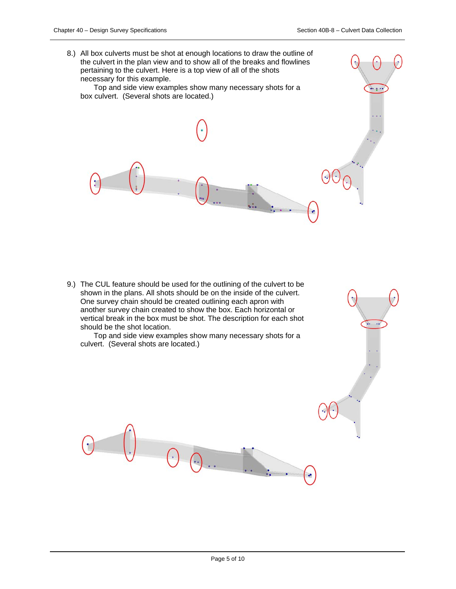$\rightarrow$  3.10

8.) All box culverts must be shot at enough locations to draw the outline of the culvert in the plan view and to show all of the breaks and flowlines pertaining to the culvert. Here is a top view of all of the shots necessary for this example.

Top and side view examples show many necessary shots for a box culvert. (Several shots are located.)

9.) The CUL feature should be used for the outlining of the culvert to be shown in the plans. All shots should be on the inside of the culvert. One survey chain should be created outlining each apron with another survey chain created to show the box. Each horizontal or vertical break in the box must be shot. The description for each shot should be the shot location.

Top and side view examples show many necessary shots for a culvert. (Several shots are located.)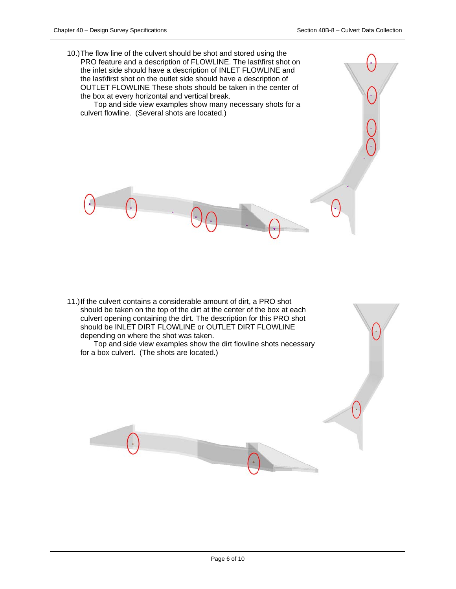10.)The flow line of the culvert should be shot and stored using the PRO feature and a description of FLOWLINE. The last\first shot on the inlet side should have a description of INLET FLOWLINE and the last\first shot on the outlet side should have a description of OUTLET FLOWLINE These shots should be taken in the center of the box at every horizontal and vertical break.

Top and side view examples show many necessary shots for a culvert flowline. (Several shots are located.)

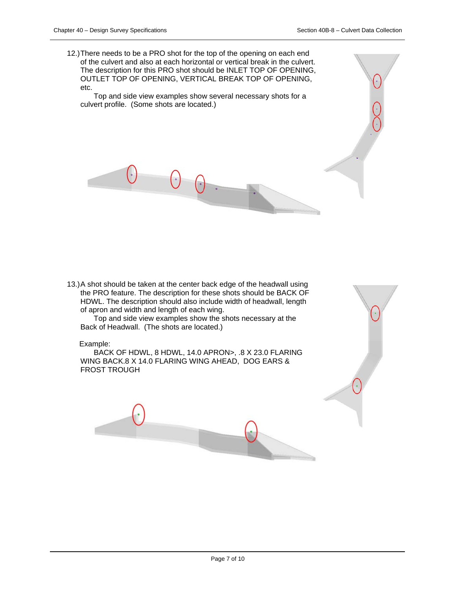12.)There needs to be a PRO shot for the top of the opening on each end of the culvert and also at each horizontal or vertical break in the culvert. The description for this PRO shot should be INLET TOP OF OPENING, OUTLET TOP OF OPENING, VERTICAL BREAK TOP OF OPENING, etc.

Top and side view examples show several necessary shots for a culvert profile. (Some shots are located.)

13.)A shot should be taken at the center back edge of the headwall using the PRO feature. The description for these shots should be BACK OF HDWL. The description should also include width of headwall, length of apron and width and length of each wing.

Top and side view examples show the shots necessary at the Back of Headwall. (The shots are located.)

#### Example:

BACK OF HDWL, 8 HDWL, 14.0 APRON>, .8 X 23.0 FLARING WING BACK.8 X 14.0 FLARING WING AHEAD, DOG EARS & FROST TROUGH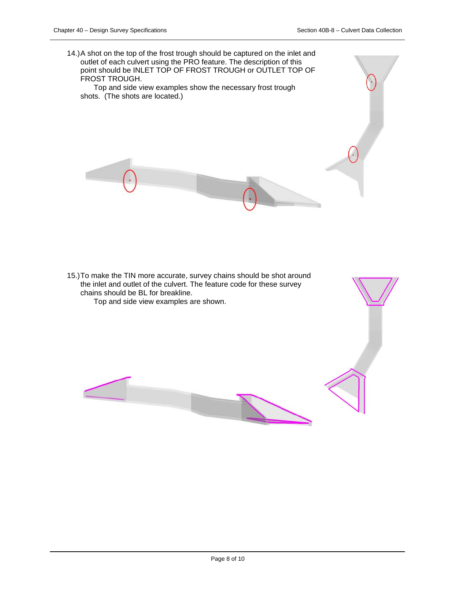14.)A shot on the top of the frost trough should be captured on the inlet and outlet of each culvert using the PRO feature. The description of this point should be INLET TOP OF FROST TROUGH or OUTLET TOP OF FROST TROUGH. Top and side view examples show the necessary frost trough shots. (The shots are located.)

15.)To make the TIN more accurate, survey chains should be shot around the inlet and outlet of the culvert. The feature code for these survey chains should be BL for breakline. Top and side view examples are shown.

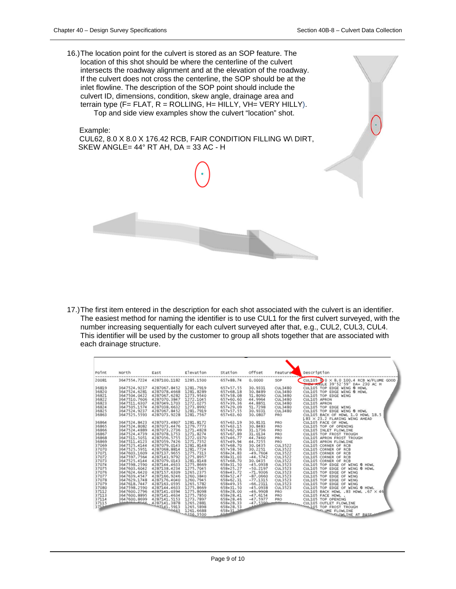16.)The location point for the culvert is stored as an SOP feature. The location of this shot should be where the centerline of the culvert intersects the roadway alignment and at the elevation of the roadway. If the culvert does not cross the centerline, the SOP should be at the inlet flowline. The description of the SOP point should include the culvert ID, dimensions, condition, skew angle, drainage area and terrain type  $(F = FLAT, R = ROLLING, H = HILLY, VH = VERY HILLY).$ Top and side view examples show the culvert "location" shot.

 Example: CUL62, 8.0 X 8.0 X 176.42 RCB, FAIR CONDITION FILLING W\ DIRT, SKEW ANGLE= 44° RT AH, DA = 33 AC - H

17.)The first item entered in the description for each shot associated with the culvert is an identifier. The easiest method for naming the identifier is to use CUL1 for the first culvert surveyed, with the number increasing sequentially for each culvert surveyed after that, e.g., CUL2, CUL3, CUL4. This identifier will be used by the customer to group all shots together that are associated with each drainage structure.

| Point          | North                        | East                         | Elevation              | Station                | offset             | Feature               | Description                                                        |
|----------------|------------------------------|------------------------------|------------------------|------------------------|--------------------|-----------------------|--------------------------------------------------------------------|
| 20081          | 3647554.7224                 | 4287100.1182                 | 1285,1500              | 657+88.74              | 0.0000             | SOP                   | CUL105 8 0 × 8.0 100.4 RCB W/FLUME GOOD                            |
|                |                              |                              |                        |                        |                    |                       | <b>SHEW AIVSLE 39'52'59" DA= 230 AC H</b>                          |
| 36819          | 3647524.9237                 | 4287067.8452                 | 1281.7919              | 657+57.55              | 30.9331            | <b>CUL3480</b>        | CUL105 TOP EDGE WING @ HDWL                                        |
| 36820          | 3647524.6281                 | 4287078.4668                 | 1281.8289              | 657+68.18              | 30.8489            | <b>CUL3480</b>        | CUL105 TOP EDGE WING @ HDWL                                        |
| 36821          | 3647504.0422                 | 4287067.6282                 | 1273.9540              | 657+58.08              | 51.8090            | <b>CUL3480</b>        | CUL105 TOP EDGE WING                                               |
| 36822          | 3647510.7606                 | 4287070.3847                 | 1272.1045              | 657+60.60              | 44.9964            | <b>CUL3480</b>        | CUL105 APRON                                                       |
| 36823          | 3647511.6307                 | 4287049.1703                 | 1272.0275              | 657+39.36              | 44,8851            | <b>CUL3480</b>        | CUL105 APRON                                                       |
| 36824          | 3647505.1574                 | 4287038.6632                 | 1273.8992              | 657+29.09              | 51.7298            | <b>CUL3480</b>        | CUL105 TOP EDGE WING                                               |
| 36825<br>36863 | 3647524.9237<br>3647525.5593 | 4287067.8452<br>4287073.9228 | 1281.7919<br>1281,7567 | 657+57.55<br>657+63.60 | 30.9331<br>30.0807 | <b>CUL3480</b><br>PRO | CUL105 TOP EDGE WING @ HDWL                                        |
|                |                              |                              |                        |                        |                    |                       | CUL105 BACK OF HDWL 1.0 HDWL 18.5<br>L83 × 23.2 FLARING WING AHEAD |
| 36864          | 3647524.8423                 | 4287073.4807                 | 1281.8172              | 657+63.19              | 30.8131            | PRO                   | CUL105 FACE OF HDWL                                                |
| 36865          | 3647524.8082                 | 4287073.4476                 | 1279, 7773             | 657+63.15              | 30.8483            | PRO                   | CUL105 TOP OF OPENING                                              |
| 36866          | 3647524.4889                 | 4287073.2736                 | 1271.4828              | 657+62.99              | 31,1736            | PRO                   | CUL105 INLET FLOWLINE                                              |
| 36867          | 3647524.4739                 | 4287078.1753                 | 1271.8274              | 657+67.89              | 31.0134            | PRO                   | CUL105 TOP FROST TROUGH                                            |
| 36868          | 3647511.5051                 | 4287056.5755                 | 1272.0370              | 657+46.77              | 44.7460            | PRO                   | CUL105 APRON FROST TROUGH                                          |
| 36869          | 3647511.4123                 | 4287059.7426                 | 1271.7352              | 657+49.94              | 44.7255            | PRO                   | CUL105 APRON FLOWLINE                                              |
| 37069          | 3647525.4144                 | 4287079.0143                 | 1281.8148              | 657+68.70              | 30.0435            | <b>CUL3522</b>        | CUL105 CORNER OF RCB                                               |
| 37070          | 3647525.5951                 | 4287068.8814                 | 1281.7724              | 657+58.56              | 30.2251            | CUL3522               | CUL105 CORNER OF RCB                                               |
| 37071          | 3647603.1609                 | 4287137.9655                 | 1275, 7313             | 658+24.83              | $-49,7604$         | <b>CUL3522</b>        | CUL105 CORNER OF RCB                                               |
| 37072          | 3647597.7564                 | 4287143.9792                 | 1275.8957              | 658+31.03              | $-44.5742$         | <b>CUL3522</b>        | CUL105 CORNER OF RCB                                               |
| 37073          | 3647525.4144                 | 4287079.0143                 | 1281.8148              | 657+68.70              | 30.0435            | <b>CUL3522</b>        | CUL105 CORNER OF RCB                                               |
| 37074          | 3647598.2590                 | 4287144.4633                 | 1275,8669              | $658 + 31.50$          | $-45,0938$         | <b>CUL3523</b>        | CUL105 TOP EDGE OF WING @ HDWL                                     |
| 37075          | 3647603.6042                 | 4287138.4234                 | 1275.7045              | 658+25.27              | $-50.2197$         | <b>CUL3523</b>        | CUL105 TOP EDGE OF WING @ HDWL                                     |
| 37076          | 3647624.6420                 | 4287157.6309                 | 1265.2375              | 658+43.72              | $-71.9306$         | <b>CUL3523</b>        | CUL105 TOP EDGE OF WING                                            |
| 37077          | 3647639,4547                 | 4287166.9246                 | 1260,3840              | 658+52.47              | $-87,0660$         | <b>CUL3523</b>        | CUL105 TOP EDGE OF WING                                            |
| 37078          | 3647629.1748                 | 4287176.4040                 | 1260.7945              | 658+62.31              | $-77.1315$         | <b>CUL3523</b>        | CUL105 TOP EDGE OF WING                                            |
| 37079          | 3647618.7447                 | 4287163.0595                 | 1265.5782              | 658+49.35              | $-66.2311$         | <b>CUL3523</b>        | CUL105 TOP EDGE OF WING                                            |
| 37080          | 3647598.2590                 | 4287144.4633                 | 1275.8669              | 658+31.50              | $-45,0938$         | <b>CUL3523</b>        | CUL105 TOP EDGE OF WING @ HDWL                                     |
| 37112          | 3647600.2796                 | 4287141.0394                 | 1275.8098              | 658+28.00              | $-46,9908$         | PRO                   | CUL105 BACK HDWL .83 HDWL .67 $\times$ 46                          |
| 37113          | 3647600.8895                 | 4287141.4634                 | 1275.7850              | 658+28.41              | $-47.6154$         | PRO                   | CUL105 FACE HDWL .                                                 |
| 37114          | 3647600.8699                 | 4287141.5153                 | 1273.7897              | 658+28.46              | $-47.5977$         | PRO                   | CUL105 TOP OPENING                                                 |
| 37115          |                              |                              | 1265.2881              | 658+28.33              | $-47.5399$         |                       |                                                                    |
| 3714           |                              | 4287141.3878                 | 1265.5898              | 658+28.53              |                    |                       |                                                                    |
|                |                              | $-2663$                      | 1261.6688              | $658 + 31 - 24$        |                    |                       | CUL105 OUTLET TROUGH                                               |
|                |                              |                              | $-4.256, 3500$         | cca                    |                    |                       |                                                                    |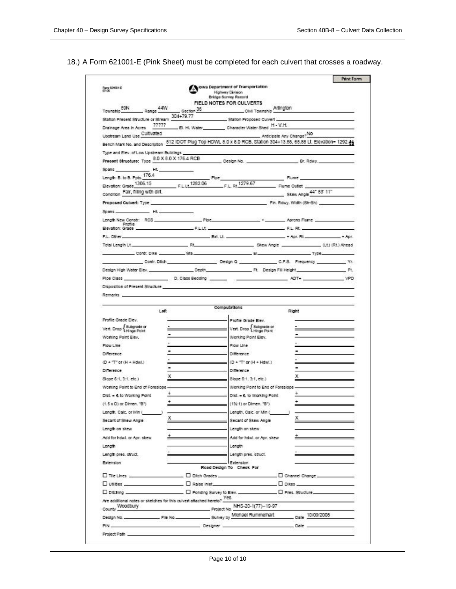## 18.) A Form 621001-E (Pink Sheet) must be completed for each culvert that crosses a roadway.

| Form 021001-E<br>07-06                                                                                                                                                                                                                                                           |                               | Jowa Department of Transportation<br>Highway Division<br>Bridge Survey Record |                                   |                          |                                                                                       |
|----------------------------------------------------------------------------------------------------------------------------------------------------------------------------------------------------------------------------------------------------------------------------------|-------------------------------|-------------------------------------------------------------------------------|-----------------------------------|--------------------------|---------------------------------------------------------------------------------------|
| 44W<br>89N                                                                                                                                                                                                                                                                       |                               | FIELD NOTES FOR CULVERTS                                                      | Arlington                         |                          |                                                                                       |
| Range<br>Township                                                                                                                                                                                                                                                                | $-$ Section $36$<br>304+79.77 |                                                                               | Civil Township                    |                          |                                                                                       |
| Station Present Structure or Stream<br>77777                                                                                                                                                                                                                                     |                               |                                                                               | Station Proposed Cuivert          |                          |                                                                                       |
| Drainage Area in Acres                                                                                                                                                                                                                                                           |                               | __ El. Hl. Water____________ Character Water Shed H - V.H.                    |                                   |                          |                                                                                       |
| Upstream Land Use Cultivated                                                                                                                                                                                                                                                     |                               |                                                                               |                                   | Anticipate Any Change?NO | 512 IDOT Plug Top HDWL 8.0 x 8.0 RCB, Station 304+13.55, 65.88 Lt. Elevation= 1292.44 |
| Bench Mark No. and Description                                                                                                                                                                                                                                                   |                               |                                                                               |                                   |                          |                                                                                       |
| Type and Elev. of Low Upstream Buildings                                                                                                                                                                                                                                         |                               |                                                                               |                                   |                          |                                                                                       |
| Present Structure: Type 8.0 X 8.0 X 176.4 RCB                                                                                                                                                                                                                                    |                               | Design No.                                                                    |                                   |                          | Br. Rdwy.                                                                             |
| Spans<br>$-Ht$                                                                                                                                                                                                                                                                   |                               |                                                                               |                                   |                          |                                                                                       |
| Length: B. to B. Ppts. 176.4                                                                                                                                                                                                                                                     |                               | Ploe<br>F.L. Rt 1279.67                                                       |                                   | Flume.                   |                                                                                       |
| Elevation: Grade 1306.15<br>Condition Fair, filling with dirt.                                                                                                                                                                                                                   | F.L.I. 1282.06                |                                                                               |                                   | Flume Outlet             |                                                                                       |
|                                                                                                                                                                                                                                                                                  |                               |                                                                               |                                   |                          | Skew Angle 44* 53' 11"                                                                |
| Proposed Culvert: Type                                                                                                                                                                                                                                                           |                               |                                                                               |                                   | Fin. Rdwy, Width (Sh-Sh) |                                                                                       |
| Ht.<br>Spans                                                                                                                                                                                                                                                                     |                               |                                                                               |                                   |                          |                                                                                       |
| Length New Constr: RCB<br>Profile                                                                                                                                                                                                                                                |                               | Ploe:                                                                         |                                   | Aprops Flume             |                                                                                       |
| Elevation: Grade                                                                                                                                                                                                                                                                 |                               | ○宮田市                                                                          |                                   | $-$ F.L. Rt.             |                                                                                       |
| F.L. Other_                                                                                                                                                                                                                                                                      |                               | Ext. Lt.                                                                      |                                   | $+$ Apr. Rt.             | $+$ Ann                                                                               |
| Total Length Lt.                                                                                                                                                                                                                                                                 | Filt.                         |                                                                               | Skew Angle                        |                          | . (Lt.) (Rt.) Ahead                                                                   |
|                                                                                                                                                                                                                                                                                  | Contr. Dike Sta.              |                                                                               | $   -$                            |                          | Type.                                                                                 |
|                                                                                                                                                                                                                                                                                  | Contr. Ditch                  | Design Q                                                                      |                                   |                          | C.F.S. Frequency<br>$-35$                                                             |
| Design High Water Elev.                                                                                                                                                                                                                                                          |                               | Depth                                                                         | Ft. Design Fill Height            |                          | Ft.                                                                                   |
| Pipe Class                                                                                                                                                                                                                                                                       | D. Class Bedding              |                                                                               |                                   | ADT-                     | VPD                                                                                   |
| Disposition of Present Structure                                                                                                                                                                                                                                                 |                               |                                                                               |                                   |                          |                                                                                       |
|                                                                                                                                                                                                                                                                                  | Left                          | Computations                                                                  |                                   | Right                    |                                                                                       |
| Profile Grade Elev.                                                                                                                                                                                                                                                              |                               |                                                                               | Profile Grade Elev.               |                          |                                                                                       |
| Vert. Drop <i>Eubgrade</i> or                                                                                                                                                                                                                                                    |                               |                                                                               | Vert. Drop { Subgrade or          |                          |                                                                                       |
| Working Point Elev.                                                                                                                                                                                                                                                              |                               |                                                                               | Working Point Elev.               |                          |                                                                                       |
|                                                                                                                                                                                                                                                                                  |                               |                                                                               |                                   |                          |                                                                                       |
|                                                                                                                                                                                                                                                                                  |                               | Flow Line                                                                     |                                   |                          |                                                                                       |
|                                                                                                                                                                                                                                                                                  |                               | Difference                                                                    |                                   |                          |                                                                                       |
| Flow Line<br><b>Difference</b><br>$(D + "T" or (H + Hdail.)$                                                                                                                                                                                                                     |                               |                                                                               | $(D + T^{\circ}$ or $(H + Hdml.)$ |                          |                                                                                       |
|                                                                                                                                                                                                                                                                                  |                               | <b>Difference</b>                                                             |                                   |                          |                                                                                       |
|                                                                                                                                                                                                                                                                                  | x                             |                                                                               | Slope 6:1, 3:1, etc.)             |                          |                                                                                       |
|                                                                                                                                                                                                                                                                                  |                               |                                                                               | Working Point to End of Foreslape |                          |                                                                                       |
|                                                                                                                                                                                                                                                                                  | ÷                             |                                                                               | Dist. - Ł to Working Point        |                          |                                                                                       |
|                                                                                                                                                                                                                                                                                  |                               |                                                                               | (1%:1) or Dimen. "B")             |                          |                                                                                       |
|                                                                                                                                                                                                                                                                                  |                               |                                                                               | Length, Calc. or Min (            |                          |                                                                                       |
|                                                                                                                                                                                                                                                                                  | х                             |                                                                               | Secant of Skew Angle              | x                        |                                                                                       |
|                                                                                                                                                                                                                                                                                  |                               |                                                                               | Length on skew                    |                          |                                                                                       |
|                                                                                                                                                                                                                                                                                  |                               | + Add for hdwl, or Apr. skew                                                  |                                   |                          | <u> 1980 - Johann Barn, amerikansk politiker (</u>                                    |
|                                                                                                                                                                                                                                                                                  |                               | Length                                                                        |                                   |                          |                                                                                       |
| Difference<br>Slape 6:1, 3:1, etc.)<br>Working Point to End of Foreslape<br>Dist. - 4. to Working Point<br>$(1.5 \times D)$ or Dimen. $B$ )<br>Length, Calc. or Min (<br>Secant of Skew Angle<br>Length on skew<br>Add for how), or Apr. skew.<br>Length<br>Length pres. struct. |                               |                                                                               | Length pres. struct.              |                          |                                                                                       |
| Extension                                                                                                                                                                                                                                                                        |                               | Extension                                                                     |                                   |                          |                                                                                       |
|                                                                                                                                                                                                                                                                                  |                               | Road Decign To Check For                                                      |                                   |                          |                                                                                       |
|                                                                                                                                                                                                                                                                                  |                               |                                                                               |                                   |                          |                                                                                       |
|                                                                                                                                                                                                                                                                                  |                               |                                                                               |                                   |                          |                                                                                       |
|                                                                                                                                                                                                                                                                                  |                               |                                                                               |                                   |                          |                                                                                       |
| D Tile Lines and Contact Contact D Disch Grades (Contact D Discharge Contact D Discharge Contact D Disch Grades (Contact D)<br>Are additional notes or sketches for this culvert attached hereto? Yes                                                                            |                               |                                                                               |                                   |                          |                                                                                       |
| County Woodbury                                                                                                                                                                                                                                                                  |                               | Project No. NHS-20-1(77)-19-97                                                |                                   |                          |                                                                                       |